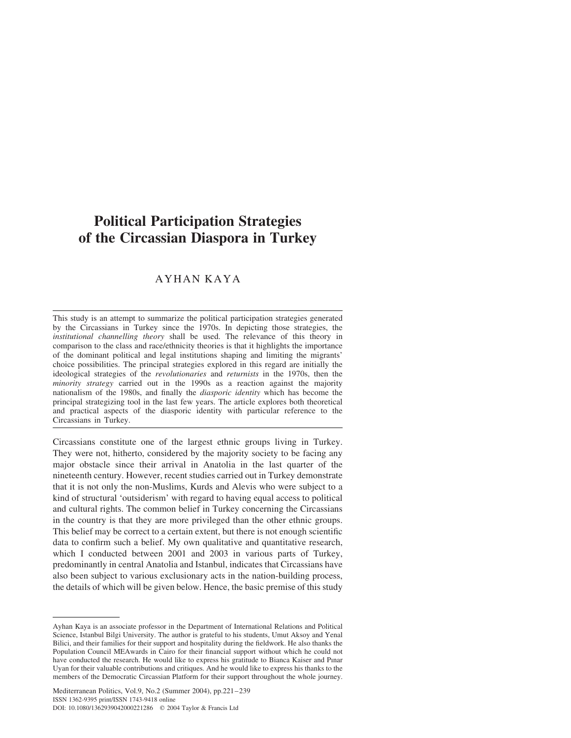# Political Participation Strategies of the Circassian Diaspora in Turkey

# AYHAN KAYA

This study is an attempt to summarize the political participation strategies generated by the Circassians in Turkey since the 1970s. In depicting those strategies, the institutional channelling theory shall be used. The relevance of this theory in comparison to the class and race/ethnicity theories is that it highlights the importance of the dominant political and legal institutions shaping and limiting the migrants' choice possibilities. The principal strategies explored in this regard are initially the ideological strategies of the revolutionaries and returnists in the 1970s, then the minority strategy carried out in the 1990s as a reaction against the majority nationalism of the 1980s, and finally the diasporic identity which has become the principal strategizing tool in the last few years. The article explores both theoretical and practical aspects of the diasporic identity with particular reference to the Circassians in Turkey.

Circassians constitute one of the largest ethnic groups living in Turkey. They were not, hitherto, considered by the majority society to be facing any major obstacle since their arrival in Anatolia in the last quarter of the nineteenth century. However, recent studies carried out in Turkey demonstrate that it is not only the non-Muslims, Kurds and Alevis who were subject to a kind of structural 'outsiderism' with regard to having equal access to political and cultural rights. The common belief in Turkey concerning the Circassians in the country is that they are more privileged than the other ethnic groups. This belief may be correct to a certain extent, but there is not enough scientific data to confirm such a belief. My own qualitative and quantitative research, which I conducted between 2001 and 2003 in various parts of Turkey, predominantly in central Anatolia and Istanbul, indicates that Circassians have also been subject to various exclusionary acts in the nation-building process, the details of which will be given below. Hence, the basic premise of this study

Ayhan Kaya is an associate professor in the Department of International Relations and Political Science, Istanbul Bilgi University. The author is grateful to his students, Umut Aksoy and Yenal Bilici, and their families for their support and hospitality during the fieldwork. He also thanks the Population Council MEAwards in Cairo for their financial support without which he could not have conducted the research. He would like to express his gratitude to Bianca Kaiser and Pınar Uyan for their valuable contributions and critiques. And he would like to express his thanks to the members of the Democratic Circassian Platform for their support throughout the whole journey.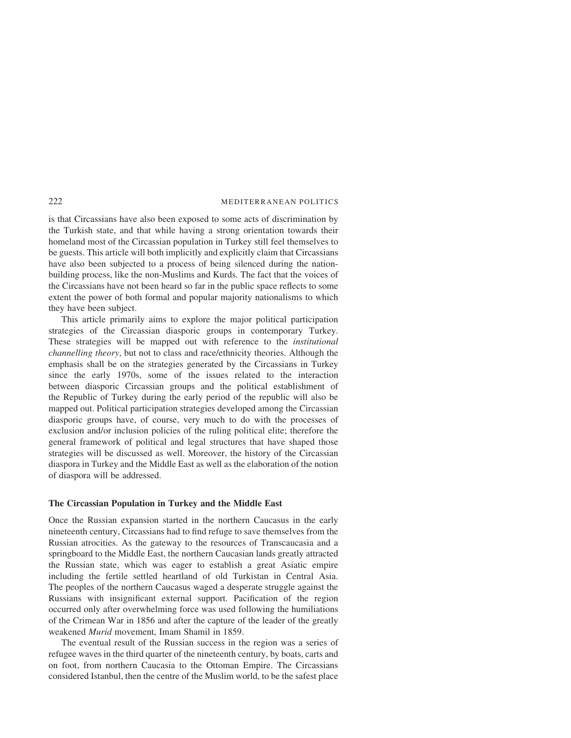is that Circassians have also been exposed to some acts of discrimination by the Turkish state, and that while having a strong orientation towards their homeland most of the Circassian population in Turkey still feel themselves to be guests. This article will both implicitly and explicitly claim that Circassians have also been subjected to a process of being silenced during the nationbuilding process, like the non-Muslims and Kurds. The fact that the voices of the Circassians have not been heard so far in the public space reflects to some extent the power of both formal and popular majority nationalisms to which they have been subject.

This article primarily aims to explore the major political participation strategies of the Circassian diasporic groups in contemporary Turkey. These strategies will be mapped out with reference to the institutional channelling theory, but not to class and race/ethnicity theories. Although the emphasis shall be on the strategies generated by the Circassians in Turkey since the early 1970s, some of the issues related to the interaction between diasporic Circassian groups and the political establishment of the Republic of Turkey during the early period of the republic will also be mapped out. Political participation strategies developed among the Circassian diasporic groups have, of course, very much to do with the processes of exclusion and/or inclusion policies of the ruling political elite; therefore the general framework of political and legal structures that have shaped those strategies will be discussed as well. Moreover, the history of the Circassian diaspora in Turkey and the Middle East as well as the elaboration of the notion of diaspora will be addressed.

#### The Circassian Population in Turkey and the Middle East

Once the Russian expansion started in the northern Caucasus in the early nineteenth century, Circassians had to find refuge to save themselves from the Russian atrocities. As the gateway to the resources of Transcaucasia and a springboard to the Middle East, the northern Caucasian lands greatly attracted the Russian state, which was eager to establish a great Asiatic empire including the fertile settled heartland of old Turkistan in Central Asia. The peoples of the northern Caucasus waged a desperate struggle against the Russians with insignificant external support. Pacification of the region occurred only after overwhelming force was used following the humiliations of the Crimean War in 1856 and after the capture of the leader of the greatly weakened Murid movement, Imam Shamil in 1859.

The eventual result of the Russian success in the region was a series of refugee waves in the third quarter of the nineteenth century, by boats, carts and on foot, from northern Caucasia to the Ottoman Empire. The Circassians considered Istanbul, then the centre of the Muslim world, to be the safest place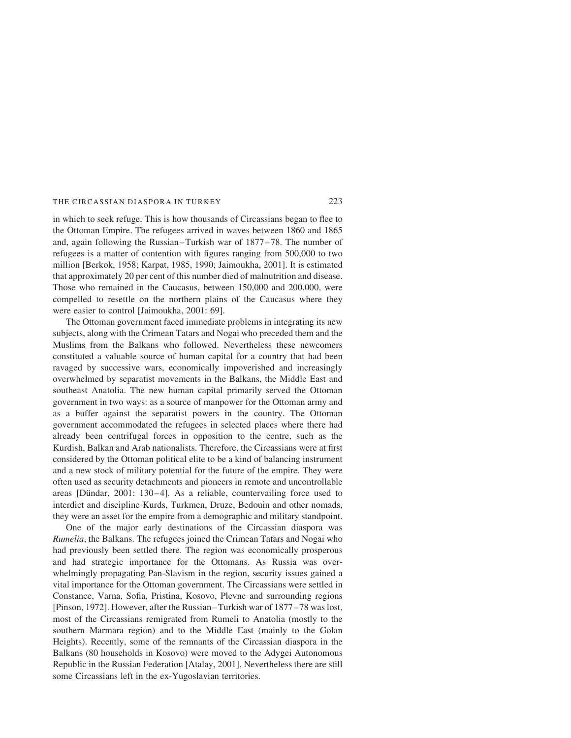in which to seek refuge. This is how thousands of Circassians began to flee to the Ottoman Empire. The refugees arrived in waves between 1860 and 1865 and, again following the Russian–Turkish war of 1877–78. The number of refugees is a matter of contention with figures ranging from 500,000 to two million [Berkok, 1958; Karpat, 1985, 1990; Jaimoukha, 2001]. It is estimated that approximately 20 per cent of this number died of malnutrition and disease. Those who remained in the Caucasus, between 150,000 and 200,000, were compelled to resettle on the northern plains of the Caucasus where they were easier to control [Jaimoukha, 2001: 69].

The Ottoman government faced immediate problems in integrating its new subjects, along with the Crimean Tatars and Nogai who preceded them and the Muslims from the Balkans who followed. Nevertheless these newcomers constituted a valuable source of human capital for a country that had been ravaged by successive wars, economically impoverished and increasingly overwhelmed by separatist movements in the Balkans, the Middle East and southeast Anatolia. The new human capital primarily served the Ottoman government in two ways: as a source of manpower for the Ottoman army and as a buffer against the separatist powers in the country. The Ottoman government accommodated the refugees in selected places where there had already been centrifugal forces in opposition to the centre, such as the Kurdish, Balkan and Arab nationalists. Therefore, the Circassians were at first considered by the Ottoman political elite to be a kind of balancing instrument and a new stock of military potential for the future of the empire. They were often used as security detachments and pioneers in remote and uncontrollable areas [Dündar, 2001: 130–4]. As a reliable, countervailing force used to interdict and discipline Kurds, Turkmen, Druze, Bedouin and other nomads, they were an asset for the empire from a demographic and military standpoint.

One of the major early destinations of the Circassian diaspora was Rumelia, the Balkans. The refugees joined the Crimean Tatars and Nogai who had previously been settled there. The region was economically prosperous and had strategic importance for the Ottomans. As Russia was overwhelmingly propagating Pan-Slavism in the region, security issues gained a vital importance for the Ottoman government. The Circassians were settled in Constance, Varna, Sofia, Pristina, Kosovo, Plevne and surrounding regions [Pinson, 1972]. However, after the Russian–Turkish war of 1877–78 was lost, most of the Circassians remigrated from Rumeli to Anatolia (mostly to the southern Marmara region) and to the Middle East (mainly to the Golan Heights). Recently, some of the remnants of the Circassian diaspora in the Balkans (80 households in Kosovo) were moved to the Adygei Autonomous Republic in the Russian Federation [Atalay, 2001]. Nevertheless there are still some Circassians left in the ex-Yugoslavian territories.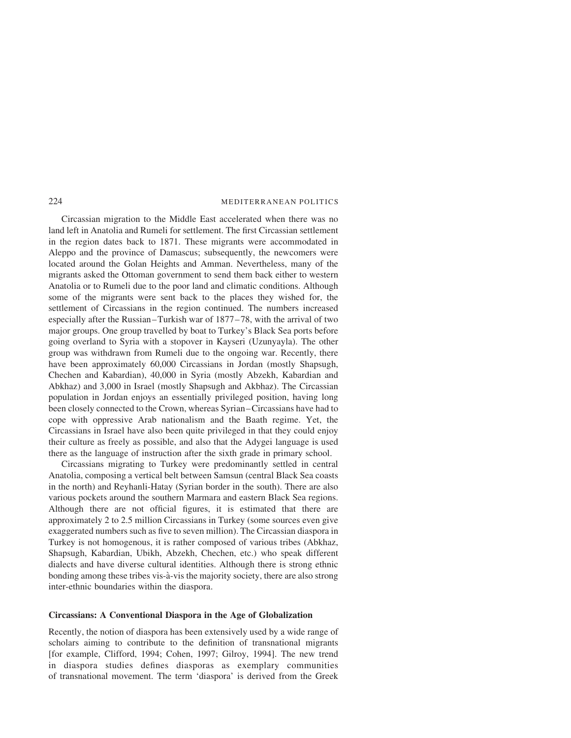Circassian migration to the Middle East accelerated when there was no land left in Anatolia and Rumeli for settlement. The first Circassian settlement in the region dates back to 1871. These migrants were accommodated in Aleppo and the province of Damascus; subsequently, the newcomers were located around the Golan Heights and Amman. Nevertheless, many of the migrants asked the Ottoman government to send them back either to western Anatolia or to Rumeli due to the poor land and climatic conditions. Although some of the migrants were sent back to the places they wished for, the settlement of Circassians in the region continued. The numbers increased especially after the Russian–Turkish war of 1877–78, with the arrival of two major groups. One group travelled by boat to Turkey's Black Sea ports before going overland to Syria with a stopover in Kayseri (Uzunyayla). The other group was withdrawn from Rumeli due to the ongoing war. Recently, there have been approximately 60,000 Circassians in Jordan (mostly Shapsugh, Chechen and Kabardian), 40,000 in Syria (mostly Abzekh, Kabardian and Abkhaz) and 3,000 in Israel (mostly Shapsugh and Akbhaz). The Circassian population in Jordan enjoys an essentially privileged position, having long been closely connected to the Crown, whereas Syrian–Circassians have had to cope with oppressive Arab nationalism and the Baath regime. Yet, the Circassians in Israel have also been quite privileged in that they could enjoy their culture as freely as possible, and also that the Adygei language is used there as the language of instruction after the sixth grade in primary school.

Circassians migrating to Turkey were predominantly settled in central Anatolia, composing a vertical belt between Samsun (central Black Sea coasts in the north) and Reyhanli-Hatay (Syrian border in the south). There are also various pockets around the southern Marmara and eastern Black Sea regions. Although there are not official figures, it is estimated that there are approximately 2 to 2.5 million Circassians in Turkey (some sources even give exaggerated numbers such as five to seven million). The Circassian diaspora in Turkey is not homogenous, it is rather composed of various tribes (Abkhaz, Shapsugh, Kabardian, Ubikh, Abzekh, Chechen, etc.) who speak different dialects and have diverse cultural identities. Although there is strong ethnic bonding among these tribes vis-à-vis the majority society, there are also strong inter-ethnic boundaries within the diaspora.

#### Circassians: A Conventional Diaspora in the Age of Globalization

Recently, the notion of diaspora has been extensively used by a wide range of scholars aiming to contribute to the definition of transnational migrants [for example, Clifford, 1994; Cohen, 1997; Gilroy, 1994]. The new trend in diaspora studies defines diasporas as exemplary communities of transnational movement. The term 'diaspora' is derived from the Greek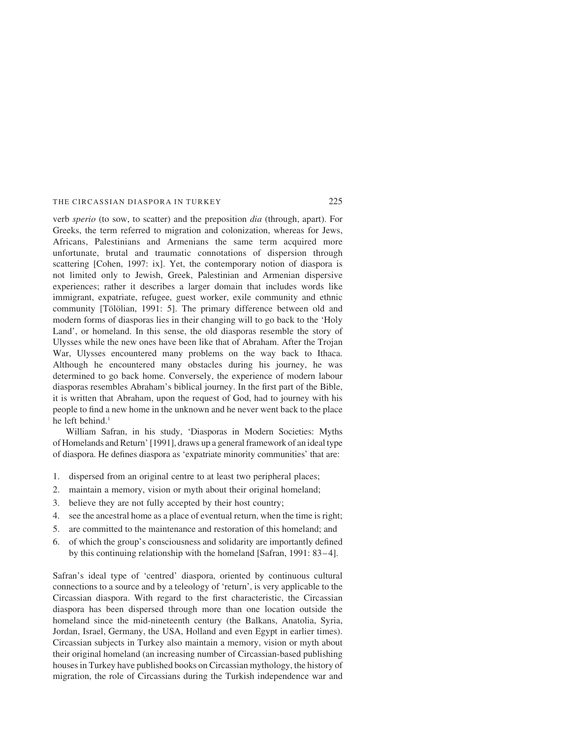verb sperio (to sow, to scatter) and the preposition dia (through, apart). For Greeks, the term referred to migration and colonization, whereas for Jews, Africans, Palestinians and Armenians the same term acquired more unfortunate, brutal and traumatic connotations of dispersion through scattering [Cohen, 1997: ix]. Yet, the contemporary notion of diaspora is not limited only to Jewish, Greek, Palestinian and Armenian dispersive experiences; rather it describes a larger domain that includes words like immigrant, expatriate, refugee, guest worker, exile community and ethnic community [Tölölian, 1991: 5]. The primary difference between old and modern forms of diasporas lies in their changing will to go back to the 'Holy Land', or homeland. In this sense, the old diasporas resemble the story of Ulysses while the new ones have been like that of Abraham. After the Trojan War, Ulysses encountered many problems on the way back to Ithaca. Although he encountered many obstacles during his journey, he was determined to go back home. Conversely, the experience of modern labour diasporas resembles Abraham's biblical journey. In the first part of the Bible, it is written that Abraham, upon the request of God, had to journey with his people to find a new home in the unknown and he never went back to the place he left behind.<sup>1</sup>

William Safran, in his study, 'Diasporas in Modern Societies: Myths of Homelands and Return' [1991], draws up a general framework of an ideal type of diaspora. He defines diaspora as 'expatriate minority communities' that are:

- 1. dispersed from an original centre to at least two peripheral places;
- 2. maintain a memory, vision or myth about their original homeland;
- 3. believe they are not fully accepted by their host country;
- 4. see the ancestral home as a place of eventual return, when the time is right;
- 5. are committed to the maintenance and restoration of this homeland; and
- 6. of which the group's consciousness and solidarity are importantly defined by this continuing relationship with the homeland [Safran, 1991: 83–4].

Safran's ideal type of 'centred' diaspora, oriented by continuous cultural connections to a source and by a teleology of 'return', is very applicable to the Circassian diaspora. With regard to the first characteristic, the Circassian diaspora has been dispersed through more than one location outside the homeland since the mid-nineteenth century (the Balkans, Anatolia, Syria, Jordan, Israel, Germany, the USA, Holland and even Egypt in earlier times). Circassian subjects in Turkey also maintain a memory, vision or myth about their original homeland (an increasing number of Circassian-based publishing houses in Turkey have published books on Circassian mythology, the history of migration, the role of Circassians during the Turkish independence war and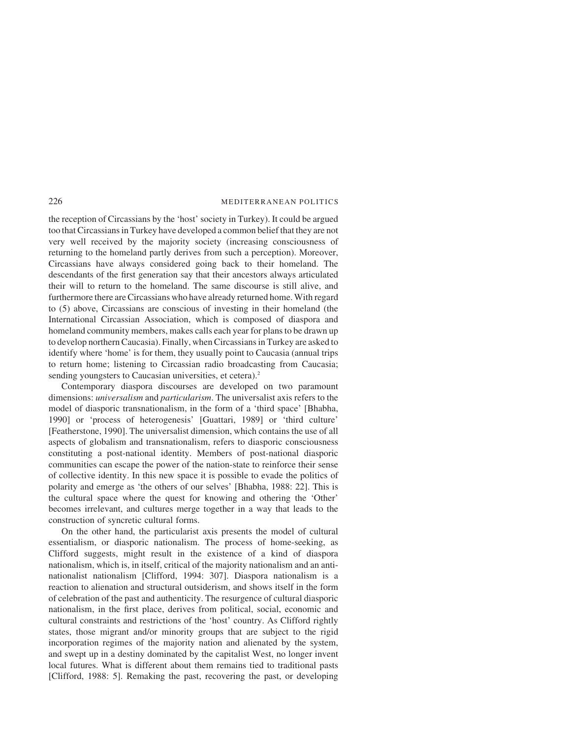the reception of Circassians by the 'host' society in Turkey). It could be argued too that Circassians in Turkey have developed a common belief that they are not very well received by the majority society (increasing consciousness of returning to the homeland partly derives from such a perception). Moreover, Circassians have always considered going back to their homeland. The descendants of the first generation say that their ancestors always articulated their will to return to the homeland. The same discourse is still alive, and furthermore there are Circassians who have already returned home. With regard to (5) above, Circassians are conscious of investing in their homeland (the International Circassian Association, which is composed of diaspora and homeland community members, makes calls each year for plans to be drawn up to develop northern Caucasia). Finally, when Circassians in Turkey are asked to identify where 'home' is for them, they usually point to Caucasia (annual trips to return home; listening to Circassian radio broadcasting from Caucasia; sending youngsters to Caucasian universities, et cetera).<sup>2</sup>

Contemporary diaspora discourses are developed on two paramount dimensions: *universalism* and *particularism*. The universalist axis refers to the model of diasporic transnationalism, in the form of a 'third space' [Bhabha, 1990] or 'process of heterogenesis' [Guattari, 1989] or 'third culture' [Featherstone, 1990]. The universalist dimension, which contains the use of all aspects of globalism and transnationalism, refers to diasporic consciousness constituting a post-national identity. Members of post-national diasporic communities can escape the power of the nation-state to reinforce their sense of collective identity. In this new space it is possible to evade the politics of polarity and emerge as 'the others of our selves' [Bhabha, 1988: 22]. This is the cultural space where the quest for knowing and othering the 'Other' becomes irrelevant, and cultures merge together in a way that leads to the construction of syncretic cultural forms.

On the other hand, the particularist axis presents the model of cultural essentialism, or diasporic nationalism. The process of home-seeking, as Clifford suggests, might result in the existence of a kind of diaspora nationalism, which is, in itself, critical of the majority nationalism and an antinationalist nationalism [Clifford, 1994: 307]. Diaspora nationalism is a reaction to alienation and structural outsiderism, and shows itself in the form of celebration of the past and authenticity. The resurgence of cultural diasporic nationalism, in the first place, derives from political, social, economic and cultural constraints and restrictions of the 'host' country. As Clifford rightly states, those migrant and/or minority groups that are subject to the rigid incorporation regimes of the majority nation and alienated by the system, and swept up in a destiny dominated by the capitalist West, no longer invent local futures. What is different about them remains tied to traditional pasts [Clifford, 1988: 5]. Remaking the past, recovering the past, or developing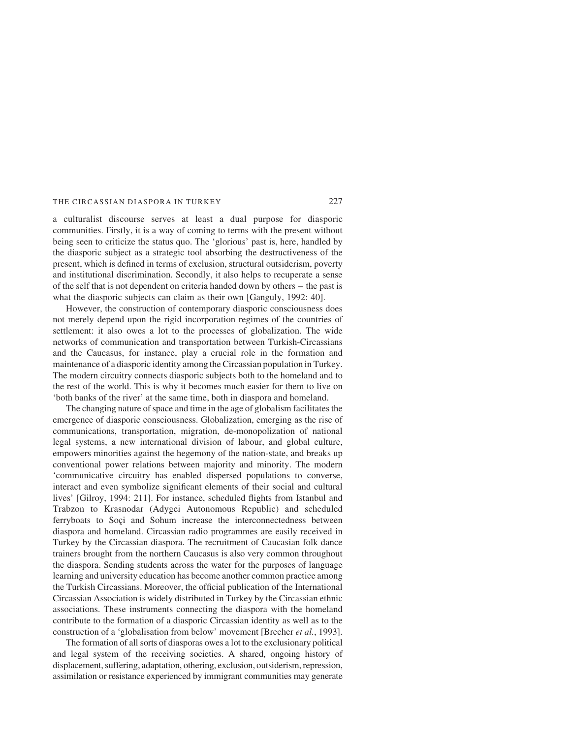a culturalist discourse serves at least a dual purpose for diasporic communities. Firstly, it is a way of coming to terms with the present without being seen to criticize the status quo. The 'glorious' past is, here, handled by the diasporic subject as a strategic tool absorbing the destructiveness of the present, which is defined in terms of exclusion, structural outsiderism, poverty and institutional discrimination. Secondly, it also helps to recuperate a sense of the self that is not dependent on criteria handed down by others – the past is what the diasporic subjects can claim as their own [Ganguly, 1992: 40].

However, the construction of contemporary diasporic consciousness does not merely depend upon the rigid incorporation regimes of the countries of settlement: it also owes a lot to the processes of globalization. The wide networks of communication and transportation between Turkish-Circassians and the Caucasus, for instance, play a crucial role in the formation and maintenance of a diasporic identity among the Circassian population in Turkey. The modern circuitry connects diasporic subjects both to the homeland and to the rest of the world. This is why it becomes much easier for them to live on 'both banks of the river' at the same time, both in diaspora and homeland.

The changing nature of space and time in the age of globalism facilitates the emergence of diasporic consciousness. Globalization, emerging as the rise of communications, transportation, migration, de-monopolization of national legal systems, a new international division of labour, and global culture, empowers minorities against the hegemony of the nation-state, and breaks up conventional power relations between majority and minority. The modern 'communicative circuitry has enabled dispersed populations to converse, interact and even symbolize significant elements of their social and cultural lives' [Gilroy, 1994: 211]. For instance, scheduled flights from Istanbul and Trabzon to Krasnodar (Adygei Autonomous Republic) and scheduled ferryboats to Soci and Sohum increase the interconnectedness between diaspora and homeland. Circassian radio programmes are easily received in Turkey by the Circassian diaspora. The recruitment of Caucasian folk dance trainers brought from the northern Caucasus is also very common throughout the diaspora. Sending students across the water for the purposes of language learning and university education has become another common practice among the Turkish Circassians. Moreover, the official publication of the International Circassian Association is widely distributed in Turkey by the Circassian ethnic associations. These instruments connecting the diaspora with the homeland contribute to the formation of a diasporic Circassian identity as well as to the construction of a 'globalisation from below' movement [Brecher et al., 1993].

The formation of all sorts of diasporas owes a lot to the exclusionary political and legal system of the receiving societies. A shared, ongoing history of displacement, suffering, adaptation, othering, exclusion, outsiderism, repression, assimilation or resistance experienced by immigrant communities may generate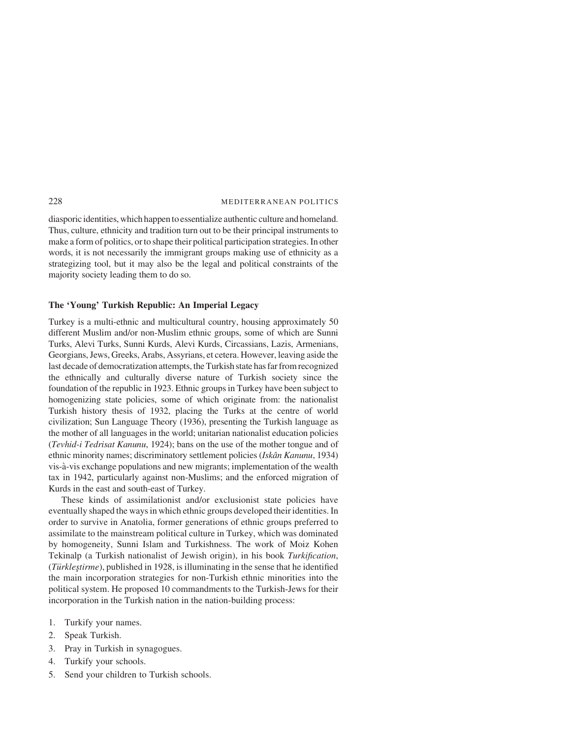diasporic identities, which happen to essentialize authentic culture and homeland. Thus, culture, ethnicity and tradition turn out to be their principal instruments to make a form of politics, or to shape their political participation strategies. In other words, it is not necessarily the immigrant groups making use of ethnicity as a strategizing tool, but it may also be the legal and political constraints of the majority society leading them to do so.

#### The 'Young' Turkish Republic: An Imperial Legacy

Turkey is a multi-ethnic and multicultural country, housing approximately 50 different Muslim and/or non-Muslim ethnic groups, some of which are Sunni Turks, Alevi Turks, Sunni Kurds, Alevi Kurds, Circassians, Lazis, Armenians, Georgians, Jews, Greeks, Arabs, Assyrians, et cetera. However, leaving aside the last decade of democratization attempts, the Turkish state has far from recognized the ethnically and culturally diverse nature of Turkish society since the foundation of the republic in 1923. Ethnic groups in Turkey have been subject to homogenizing state policies, some of which originate from: the nationalist Turkish history thesis of 1932, placing the Turks at the centre of world civilization; Sun Language Theory (1936), presenting the Turkish language as the mother of all languages in the world; unitarian nationalist education policies (Tevhid-i Tedrisat Kanunu, 1924); bans on the use of the mother tongue and of ethnic minority names; discriminatory settlement policies (Iskân Kanunu, 1934) vis-a`-vis exchange populations and new migrants; implementation of the wealth tax in 1942, particularly against non-Muslims; and the enforced migration of Kurds in the east and south-east of Turkey.

These kinds of assimilationist and/or exclusionist state policies have eventually shaped the ways in which ethnic groups developed their identities. In order to survive in Anatolia, former generations of ethnic groups preferred to assimilate to the mainstream political culture in Turkey, which was dominated by homogeneity, Sunni Islam and Turkishness. The work of Moiz Kohen Tekinalp (a Turkish nationalist of Jewish origin), in his book Turkification, (Türkleştirme), published in 1928, is illuminating in the sense that he identified the main incorporation strategies for non-Turkish ethnic minorities into the political system. He proposed 10 commandments to the Turkish-Jews for their incorporation in the Turkish nation in the nation-building process:

- 1. Turkify your names.
- 2. Speak Turkish.
- 3. Pray in Turkish in synagogues.
- 4. Turkify your schools.
- 5. Send your children to Turkish schools.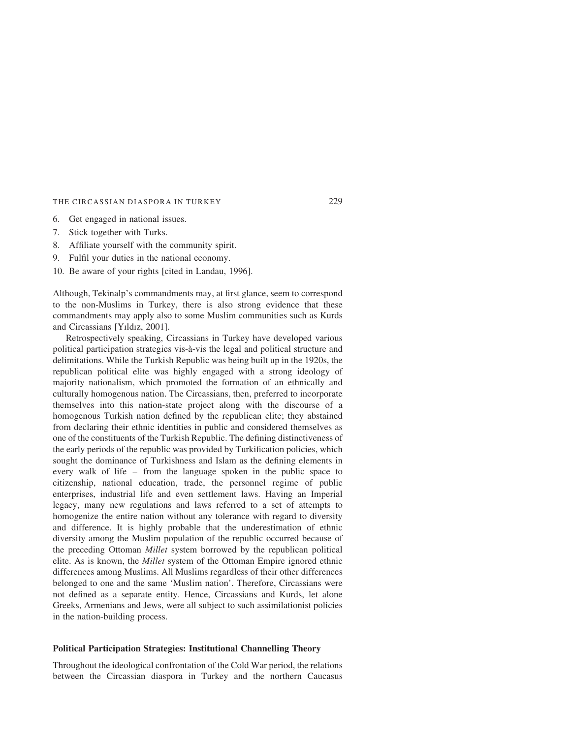- 6. Get engaged in national issues.
- 7. Stick together with Turks.
- 8. Affiliate yourself with the community spirit.
- 9. Fulfil your duties in the national economy.
- 10. Be aware of your rights [cited in Landau, 1996].

Although, Tekinalp's commandments may, at first glance, seem to correspond to the non-Muslims in Turkey, there is also strong evidence that these commandments may apply also to some Muslim communities such as Kurds and Circassians [Yıldız, 2001].

Retrospectively speaking, Circassians in Turkey have developed various political participation strategies vis-à-vis the legal and political structure and delimitations. While the Turkish Republic was being built up in the 1920s, the republican political elite was highly engaged with a strong ideology of majority nationalism, which promoted the formation of an ethnically and culturally homogenous nation. The Circassians, then, preferred to incorporate themselves into this nation-state project along with the discourse of a homogenous Turkish nation defined by the republican elite; they abstained from declaring their ethnic identities in public and considered themselves as one of the constituents of the Turkish Republic. The defining distinctiveness of the early periods of the republic was provided by Turkification policies, which sought the dominance of Turkishness and Islam as the defining elements in every walk of life – from the language spoken in the public space to citizenship, national education, trade, the personnel regime of public enterprises, industrial life and even settlement laws. Having an Imperial legacy, many new regulations and laws referred to a set of attempts to homogenize the entire nation without any tolerance with regard to diversity and difference. It is highly probable that the underestimation of ethnic diversity among the Muslim population of the republic occurred because of the preceding Ottoman Millet system borrowed by the republican political elite. As is known, the Millet system of the Ottoman Empire ignored ethnic differences among Muslims. All Muslims regardless of their other differences belonged to one and the same 'Muslim nation'. Therefore, Circassians were not defined as a separate entity. Hence, Circassians and Kurds, let alone Greeks, Armenians and Jews, were all subject to such assimilationist policies in the nation-building process.

#### Political Participation Strategies: Institutional Channelling Theory

Throughout the ideological confrontation of the Cold War period, the relations between the Circassian diaspora in Turkey and the northern Caucasus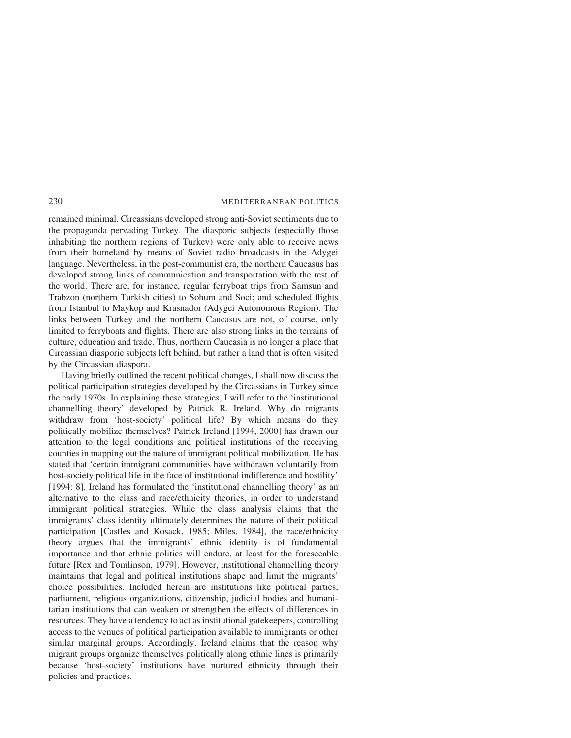remained minimal. Circassians developed strong anti-Soviet sentiments due to the propaganda pervading Turkey. The diasporic subjects (especially those inhabiting the northern regions of Turkey) were only able to receive news from their homeland by means of Soviet radio broadcasts in the Adygei language. Nevertheless, in the post-communist era, the northern Caucasus has developed strong links of communication and transportation with the rest of the world. There are, for instance, regular ferryboat trips from Samsun and Trabzon (northern Turkish cities) to Sohum and Soci; and scheduled flights from Istanbul to Maykop and Krasnador (Adygei Autonomous Region). The links between Turkey and the northern Caucasus are not, of course, only limited to ferryboats and flights. There are also strong links in the terrains of culture, education and trade. Thus, northern Caucasia is no longer a place that Circassian diasporic subjects left behind, but rather a land that is often visited by the Circassian diaspora.

Having briefly outlined the recent political changes, I shall now discuss the political participation strategies developed by the Circassians in Turkey since the early 1970s. In explaining these strategies, I will refer to the 'institutional channelling theory' developed by Patrick R. Ireland. Why do migrants withdraw from 'host-society' political life? By which means do they politically mobilize themselves? Patrick Ireland [1994, 2000] has drawn our attention to the legal conditions and political institutions of the receiving counties in mapping out the nature of immigrant political mobilization. He has stated that 'certain immigrant communities have withdrawn voluntarily from host-society political life in the face of institutional indifference and hostility' [1994: 8]. Ireland has formulated the 'institutional channelling theory' as an alternative to the class and race/ethnicity theories, in order to understand immigrant political strategies. While the class analysis claims that the immigrants' class identity ultimately determines the nature of their political participation [Castles and Kosack, 1985; Miles, 1984], the race/ethnicity theory argues that the immigrants' ethnic identity is of fundamental importance and that ethnic politics will endure, at least for the foreseeable future [Rex and Tomlinson, 1979]. However, institutional channelling theory maintains that legal and political institutions shape and limit the migrants' choice possibilities. Included herein are institutions like political parties, parliament, religious organizations, citizenship, judicial bodies and humanitarian institutions that can weaken or strengthen the effects of differences in resources. They have a tendency to act as institutional gatekeepers, controlling access to the venues of political participation available to immigrants or other similar marginal groups. Accordingly, Ireland claims that the reason why migrant groups organize themselves politically along ethnic lines is primarily because 'host-society' institutions have nurtured ethnicity through their policies and practices.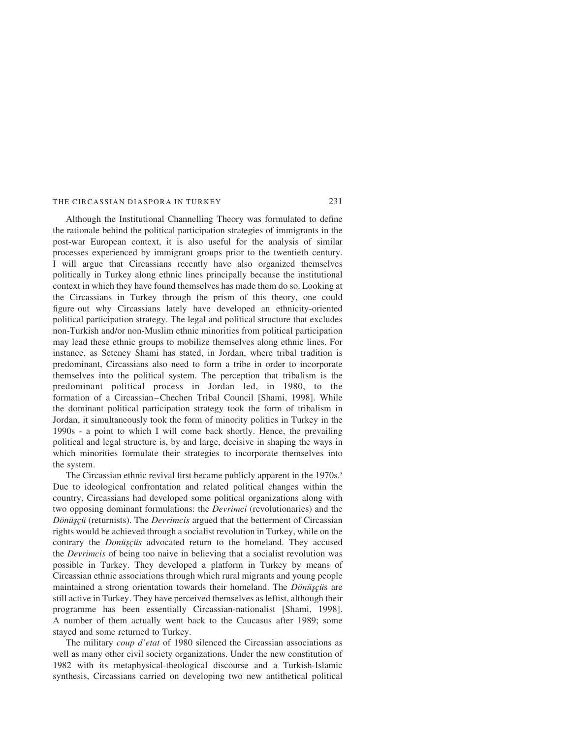Although the Institutional Channelling Theory was formulated to define the rationale behind the political participation strategies of immigrants in the post-war European context, it is also useful for the analysis of similar processes experienced by immigrant groups prior to the twentieth century. I will argue that Circassians recently have also organized themselves politically in Turkey along ethnic lines principally because the institutional context in which they have found themselves has made them do so. Looking at the Circassians in Turkey through the prism of this theory, one could figure out why Circassians lately have developed an ethnicity-oriented political participation strategy. The legal and political structure that excludes non-Turkish and/or non-Muslim ethnic minorities from political participation may lead these ethnic groups to mobilize themselves along ethnic lines. For instance, as Seteney Shami has stated, in Jordan, where tribal tradition is predominant, Circassians also need to form a tribe in order to incorporate themselves into the political system. The perception that tribalism is the predominant political process in Jordan led, in 1980, to the formation of a Circassian–Chechen Tribal Council [Shami, 1998]. While the dominant political participation strategy took the form of tribalism in Jordan, it simultaneously took the form of minority politics in Turkey in the 1990s - a point to which I will come back shortly. Hence, the prevailing political and legal structure is, by and large, decisive in shaping the ways in which minorities formulate their strategies to incorporate themselves into the system.

The Circassian ethnic revival first became publicly apparent in the 1970s.<sup>3</sup> Due to ideological confrontation and related political changes within the country, Circassians had developed some political organizations along with two opposing dominant formulations: the Devrimci (revolutionaries) and the Dönüşçü (returnists). The Devrimcis argued that the betterment of Circassian rights would be achieved through a socialist revolution in Turkey, while on the contrary the Dönüşçüs advocated return to the homeland. They accused the Devrimcis of being too naive in believing that a socialist revolution was possible in Turkey. They developed a platform in Turkey by means of Circassian ethnic associations through which rural migrants and young people maintained a strong orientation towards their homeland. The Dönüşçüs are still active in Turkey. They have perceived themselves as leftist, although their programme has been essentially Circassian-nationalist [Shami, 1998]. A number of them actually went back to the Caucasus after 1989; some stayed and some returned to Turkey.

The military coup d'etat of 1980 silenced the Circassian associations as well as many other civil society organizations. Under the new constitution of 1982 with its metaphysical-theological discourse and a Turkish-Islamic synthesis, Circassians carried on developing two new antithetical political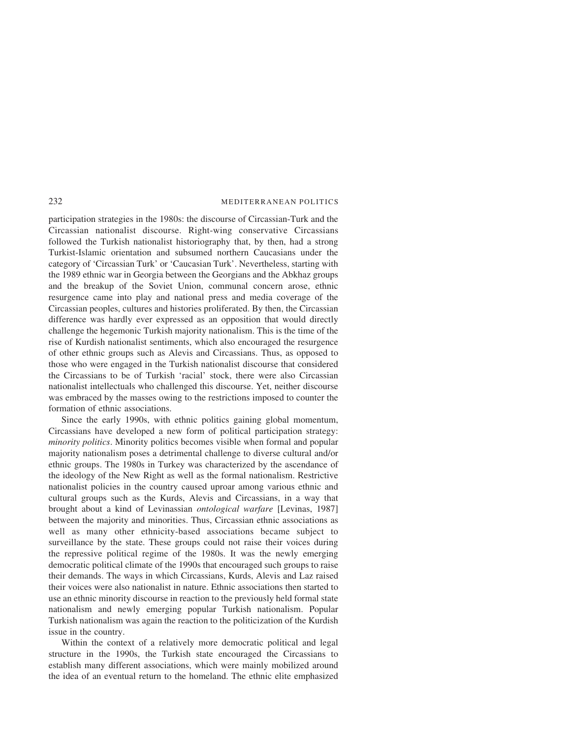participation strategies in the 1980s: the discourse of Circassian-Turk and the Circassian nationalist discourse. Right-wing conservative Circassians followed the Turkish nationalist historiography that, by then, had a strong Turkist-Islamic orientation and subsumed northern Caucasians under the category of 'Circassian Turk' or 'Caucasian Turk'. Nevertheless, starting with the 1989 ethnic war in Georgia between the Georgians and the Abkhaz groups and the breakup of the Soviet Union, communal concern arose, ethnic resurgence came into play and national press and media coverage of the Circassian peoples, cultures and histories proliferated. By then, the Circassian difference was hardly ever expressed as an opposition that would directly challenge the hegemonic Turkish majority nationalism. This is the time of the rise of Kurdish nationalist sentiments, which also encouraged the resurgence of other ethnic groups such as Alevis and Circassians. Thus, as opposed to those who were engaged in the Turkish nationalist discourse that considered the Circassians to be of Turkish 'racial' stock, there were also Circassian nationalist intellectuals who challenged this discourse. Yet, neither discourse was embraced by the masses owing to the restrictions imposed to counter the formation of ethnic associations.

Since the early 1990s, with ethnic politics gaining global momentum, Circassians have developed a new form of political participation strategy: minority politics. Minority politics becomes visible when formal and popular majority nationalism poses a detrimental challenge to diverse cultural and/or ethnic groups. The 1980s in Turkey was characterized by the ascendance of the ideology of the New Right as well as the formal nationalism. Restrictive nationalist policies in the country caused uproar among various ethnic and cultural groups such as the Kurds, Alevis and Circassians, in a way that brought about a kind of Levinassian ontological warfare [Levinas, 1987] between the majority and minorities. Thus, Circassian ethnic associations as well as many other ethnicity-based associations became subject to surveillance by the state. These groups could not raise their voices during the repressive political regime of the 1980s. It was the newly emerging democratic political climate of the 1990s that encouraged such groups to raise their demands. The ways in which Circassians, Kurds, Alevis and Laz raised their voices were also nationalist in nature. Ethnic associations then started to use an ethnic minority discourse in reaction to the previously held formal state nationalism and newly emerging popular Turkish nationalism. Popular Turkish nationalism was again the reaction to the politicization of the Kurdish issue in the country.

Within the context of a relatively more democratic political and legal structure in the 1990s, the Turkish state encouraged the Circassians to establish many different associations, which were mainly mobilized around the idea of an eventual return to the homeland. The ethnic elite emphasized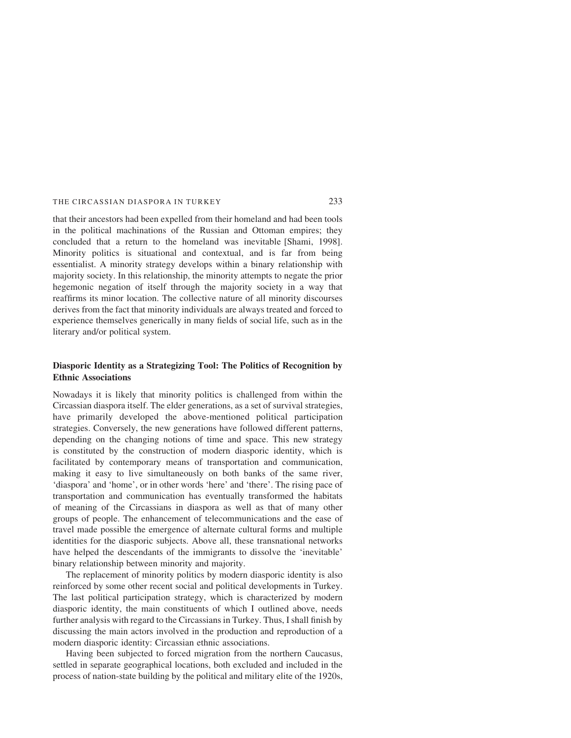that their ancestors had been expelled from their homeland and had been tools in the political machinations of the Russian and Ottoman empires; they concluded that a return to the homeland was inevitable [Shami, 1998]. Minority politics is situational and contextual, and is far from being essentialist. A minority strategy develops within a binary relationship with majority society. In this relationship, the minority attempts to negate the prior hegemonic negation of itself through the majority society in a way that reaffirms its minor location. The collective nature of all minority discourses derives from the fact that minority individuals are always treated and forced to experience themselves generically in many fields of social life, such as in the literary and/or political system.

## Diasporic Identity as a Strategizing Tool: The Politics of Recognition by Ethnic Associations

Nowadays it is likely that minority politics is challenged from within the Circassian diaspora itself. The elder generations, as a set of survival strategies, have primarily developed the above-mentioned political participation strategies. Conversely, the new generations have followed different patterns, depending on the changing notions of time and space. This new strategy is constituted by the construction of modern diasporic identity, which is facilitated by contemporary means of transportation and communication, making it easy to live simultaneously on both banks of the same river, 'diaspora' and 'home', or in other words 'here' and 'there'. The rising pace of transportation and communication has eventually transformed the habitats of meaning of the Circassians in diaspora as well as that of many other groups of people. The enhancement of telecommunications and the ease of travel made possible the emergence of alternate cultural forms and multiple identities for the diasporic subjects. Above all, these transnational networks have helped the descendants of the immigrants to dissolve the 'inevitable' binary relationship between minority and majority.

The replacement of minority politics by modern diasporic identity is also reinforced by some other recent social and political developments in Turkey. The last political participation strategy, which is characterized by modern diasporic identity, the main constituents of which I outlined above, needs further analysis with regard to the Circassians in Turkey. Thus, I shall finish by discussing the main actors involved in the production and reproduction of a modern diasporic identity: Circassian ethnic associations.

Having been subjected to forced migration from the northern Caucasus, settled in separate geographical locations, both excluded and included in the process of nation-state building by the political and military elite of the 1920s,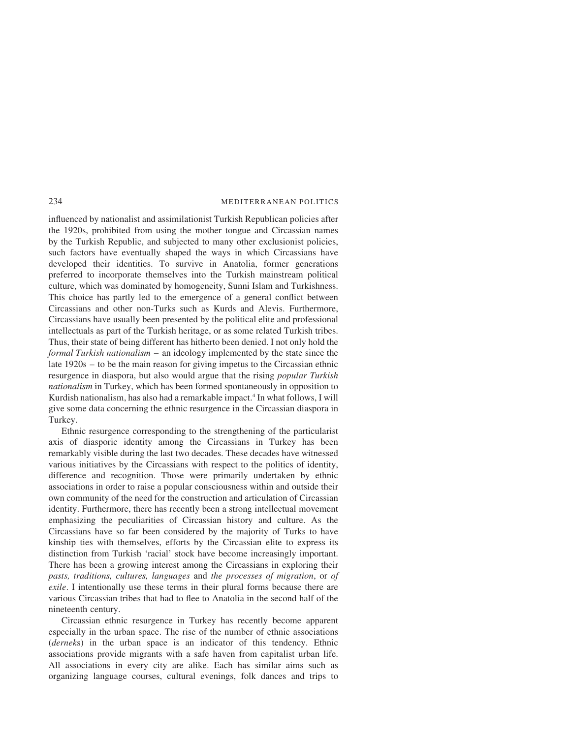influenced by nationalist and assimilationist Turkish Republican policies after the 1920s, prohibited from using the mother tongue and Circassian names by the Turkish Republic, and subjected to many other exclusionist policies, such factors have eventually shaped the ways in which Circassians have developed their identities. To survive in Anatolia, former generations preferred to incorporate themselves into the Turkish mainstream political culture, which was dominated by homogeneity, Sunni Islam and Turkishness. This choice has partly led to the emergence of a general conflict between Circassians and other non-Turks such as Kurds and Alevis. Furthermore, Circassians have usually been presented by the political elite and professional intellectuals as part of the Turkish heritage, or as some related Turkish tribes. Thus, their state of being different has hitherto been denied. I not only hold the formal Turkish nationalism – an ideology implemented by the state since the late 1920s – to be the main reason for giving impetus to the Circassian ethnic resurgence in diaspora, but also would argue that the rising popular Turkish nationalism in Turkey, which has been formed spontaneously in opposition to Kurdish nationalism, has also had a remarkable impact.<sup>4</sup> In what follows, I will give some data concerning the ethnic resurgence in the Circassian diaspora in Turkey.

Ethnic resurgence corresponding to the strengthening of the particularist axis of diasporic identity among the Circassians in Turkey has been remarkably visible during the last two decades. These decades have witnessed various initiatives by the Circassians with respect to the politics of identity, difference and recognition. Those were primarily undertaken by ethnic associations in order to raise a popular consciousness within and outside their own community of the need for the construction and articulation of Circassian identity. Furthermore, there has recently been a strong intellectual movement emphasizing the peculiarities of Circassian history and culture. As the Circassians have so far been considered by the majority of Turks to have kinship ties with themselves, efforts by the Circassian elite to express its distinction from Turkish 'racial' stock have become increasingly important. There has been a growing interest among the Circassians in exploring their pasts, traditions, cultures, languages and the processes of migration, or of exile. I intentionally use these terms in their plural forms because there are various Circassian tribes that had to flee to Anatolia in the second half of the nineteenth century.

Circassian ethnic resurgence in Turkey has recently become apparent especially in the urban space. The rise of the number of ethnic associations (derneks) in the urban space is an indicator of this tendency. Ethnic associations provide migrants with a safe haven from capitalist urban life. All associations in every city are alike. Each has similar aims such as organizing language courses, cultural evenings, folk dances and trips to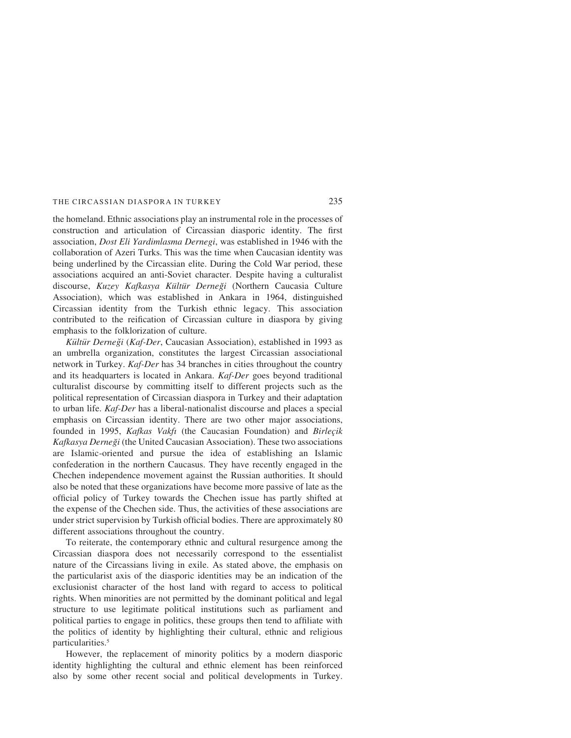the homeland. Ethnic associations play an instrumental role in the processes of construction and articulation of Circassian diasporic identity. The first association, Dost Eli Yardimlasma Dernegi, was established in 1946 with the collaboration of Azeri Turks. This was the time when Caucasian identity was being underlined by the Circassian elite. During the Cold War period, these associations acquired an anti-Soviet character. Despite having a culturalist discourse, Kuzey Kafkasya Kültür Derneği (Northern Caucasia Culture Association), which was established in Ankara in 1964, distinguished Circassian identity from the Turkish ethnic legacy. This association contributed to the reification of Circassian culture in diaspora by giving emphasis to the folklorization of culture.

Kültür Derneği (Kaf-Der, Caucasian Association), established in 1993 as an umbrella organization, constitutes the largest Circassian associational network in Turkey. Kaf-Der has 34 branches in cities throughout the country and its headquarters is located in Ankara. Kaf-Der goes beyond traditional culturalist discourse by committing itself to different projects such as the political representation of Circassian diaspora in Turkey and their adaptation to urban life. Kaf-Der has a liberal-nationalist discourse and places a special emphasis on Circassian identity. There are two other major associations, founded in 1995, Kafkas Vakfı (the Caucasian Foundation) and Birleçik Kafkasya Derneği (the United Caucasian Association). These two associations are Islamic-oriented and pursue the idea of establishing an Islamic confederation in the northern Caucasus. They have recently engaged in the Chechen independence movement against the Russian authorities. It should also be noted that these organizations have become more passive of late as the official policy of Turkey towards the Chechen issue has partly shifted at the expense of the Chechen side. Thus, the activities of these associations are under strict supervision by Turkish official bodies. There are approximately 80 different associations throughout the country.

To reiterate, the contemporary ethnic and cultural resurgence among the Circassian diaspora does not necessarily correspond to the essentialist nature of the Circassians living in exile. As stated above, the emphasis on the particularist axis of the diasporic identities may be an indication of the exclusionist character of the host land with regard to access to political rights. When minorities are not permitted by the dominant political and legal structure to use legitimate political institutions such as parliament and political parties to engage in politics, these groups then tend to affiliate with the politics of identity by highlighting their cultural, ethnic and religious particularities.<sup>5</sup>

However, the replacement of minority politics by a modern diasporic identity highlighting the cultural and ethnic element has been reinforced also by some other recent social and political developments in Turkey.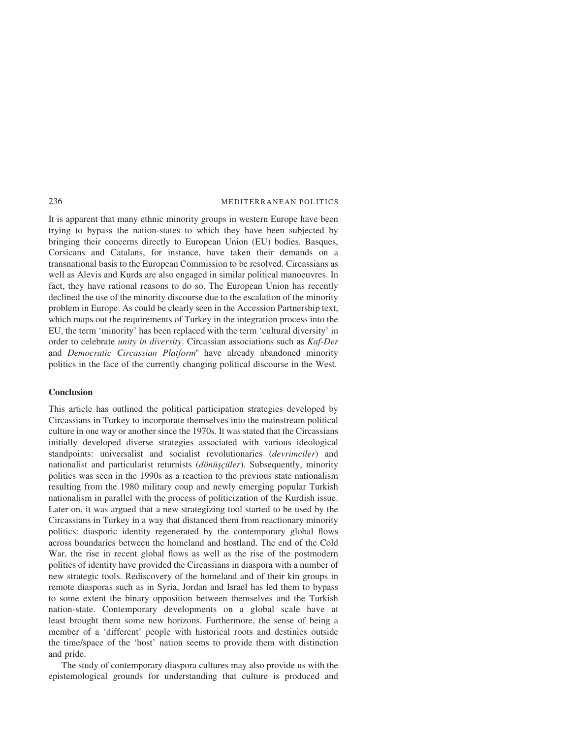It is apparent that many ethnic minority groups in western Europe have been trying to bypass the nation-states to which they have been subjected by bringing their concerns directly to European Union (EU) bodies. Basques, Corsicans and Catalans, for instance, have taken their demands on a transnational basis to the European Commission to be resolved. Circassians as well as Alevis and Kurds are also engaged in similar political manoeuvres. In fact, they have rational reasons to do so. The European Union has recently declined the use of the minority discourse due to the escalation of the minority problem in Europe. As could be clearly seen in the Accession Partnership text, which maps out the requirements of Turkey in the integration process into the EU, the term 'minority' has been replaced with the term 'cultural diversity' in order to celebrate unity in diversity. Circassian associations such as Kaf-Der and Democratic Circassian Platform<sup>6</sup> have already abandoned minority politics in the face of the currently changing political discourse in the West.

#### **Conclusion**

This article has outlined the political participation strategies developed by Circassians in Turkey to incorporate themselves into the mainstream political culture in one way or another since the 1970s. It was stated that the Circassians initially developed diverse strategies associated with various ideological standpoints: universalist and socialist revolutionaries (devrimciler) and nationalist and particularist returnists (dönüşçüler). Subsequently, minority politics was seen in the 1990s as a reaction to the previous state nationalism resulting from the 1980 military coup and newly emerging popular Turkish nationalism in parallel with the process of politicization of the Kurdish issue. Later on, it was argued that a new strategizing tool started to be used by the Circassians in Turkey in a way that distanced them from reactionary minority politics: diasporic identity regenerated by the contemporary global flows across boundaries between the homeland and hostland. The end of the Cold War, the rise in recent global flows as well as the rise of the postmodern politics of identity have provided the Circassians in diaspora with a number of new strategic tools. Rediscovery of the homeland and of their kin groups in remote diasporas such as in Syria, Jordan and Israel has led them to bypass to some extent the binary opposition between themselves and the Turkish nation-state. Contemporary developments on a global scale have at least brought them some new horizons. Furthermore, the sense of being a member of a 'different' people with historical roots and destinies outside the time/space of the 'host' nation seems to provide them with distinction and pride.

The study of contemporary diaspora cultures may also provide us with the epistemological grounds for understanding that culture is produced and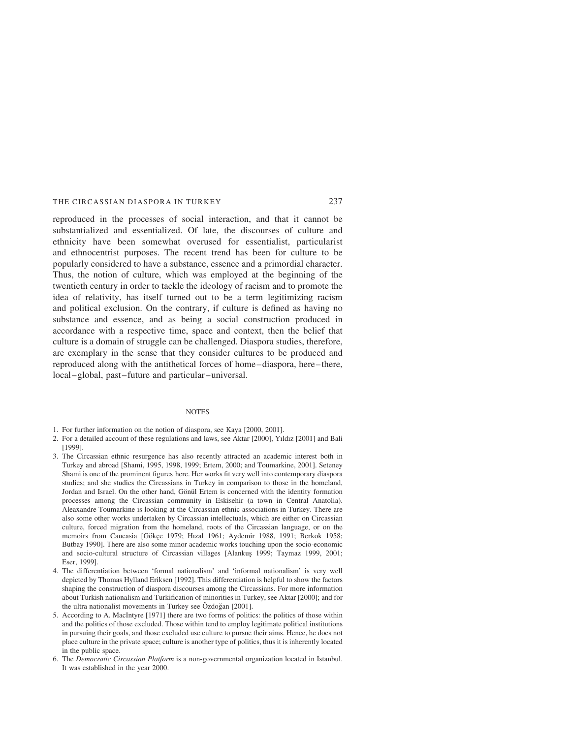reproduced in the processes of social interaction, and that it cannot be substantialized and essentialized. Of late, the discourses of culture and ethnicity have been somewhat overused for essentialist, particularist and ethnocentrist purposes. The recent trend has been for culture to be popularly considered to have a substance, essence and a primordial character. Thus, the notion of culture, which was employed at the beginning of the twentieth century in order to tackle the ideology of racism and to promote the idea of relativity, has itself turned out to be a term legitimizing racism and political exclusion. On the contrary, if culture is defined as having no substance and essence, and as being a social construction produced in accordance with a respective time, space and context, then the belief that culture is a domain of struggle can be challenged. Diaspora studies, therefore, are exemplary in the sense that they consider cultures to be produced and reproduced along with the antithetical forces of home–diaspora, here–there, local–global, past–future and particular–universal.

#### **NOTES**

1. For further information on the notion of diaspora, see Kaya [2000, 2001].

- 2. For a detailed account of these regulations and laws, see Aktar [2000], Yıldız [2001] and Bali [1999].
- 3. The Circassian ethnic resurgence has also recently attracted an academic interest both in Turkey and abroad [Shami, 1995, 1998, 1999; Ertem, 2000; and Toumarkine, 2001]. Seteney Shami is one of the prominent figures here. Her works fit very well into contemporary diaspora studies; and she studies the Circassians in Turkey in comparison to those in the homeland, Jordan and Israel. On the other hand, Gönül Ertem is concerned with the identity formation processes among the Circassian community in Eskisehir (a town in Central Anatolia). Aleaxandre Toumarkine is looking at the Circassian ethnic associations in Turkey. There are also some other works undertaken by Circassian intellectuals, which are either on Circassian culture, forced migration from the homeland, roots of the Circassian language, or on the memoirs from Caucasia [Gökçe 1979; Hızal 1961; Aydemir 1988, 1991; Berkok 1958; Butbay 1990]. There are also some minor academic works touching upon the socio-economic and socio-cultural structure of Circassian villages [Alankus¸ 1999; Taymaz 1999, 2001; Eser, 1999].
- 4. The differentiation between 'formal nationalism' and 'informal nationalism' is very well depicted by Thomas Hylland Eriksen [1992]. This differentiation is helpful to show the factors shaping the construction of diaspora discourses among the Circassians. For more information about Turkish nationalism and Turkification of minorities in Turkey, see Aktar [2000]; and for the ultra nationalist movements in Turkey see Özdoğan [2001].
- 5. According to A. MacIntyre [1971] there are two forms of politics: the politics of those within and the politics of those excluded. Those within tend to employ legitimate political institutions in pursuing their goals, and those excluded use culture to pursue their aims. Hence, he does not place culture in the private space; culture is another type of politics, thus it is inherently located in the public space.
- 6. The Democratic Circassian Platform is a non-governmental organization located in Istanbul. It was established in the year 2000.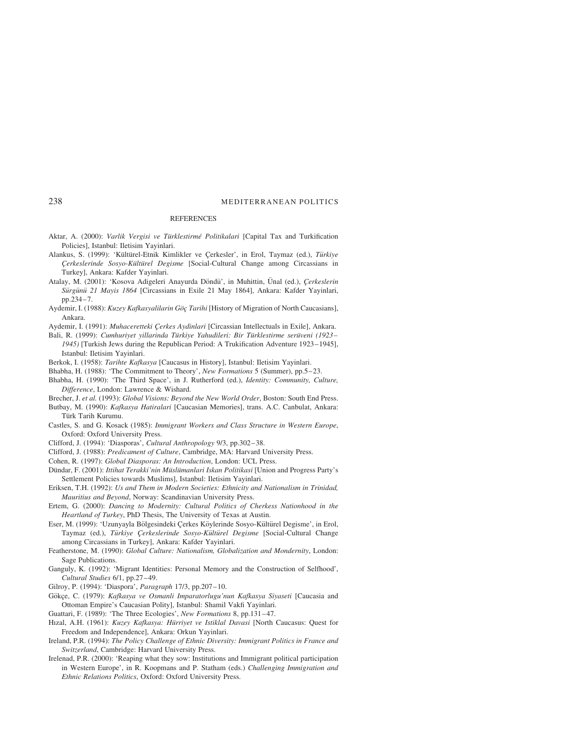#### **REFERENCES**

- Aktar, A. (2000): Varlik Vergisi ve Türklestirmé Politikalari [Capital Tax and Turkification Policies], Istanbul: Iletisim Yayinlari.
- Alankus, S. (1999): 'Kültürel-Etnik Kimlikler ve Çerkesler', in Erol, Taymaz (ed.), Türkiye Çerkeslerinde Sosyo-Kültürel Degisme [Social-Cultural Change among Circassians in Turkey], Ankara: Kafder Yayinlari.
- Atalay, M. (2001): 'Kosova Adigeleri Anayurda Döndü', in Muhittin, Ünal (ed.), Çerkeslerin Sürgünü 21 Mayis 1864 [Circassians in Exile 21 May 1864], Ankara: Kafder Yayinlari, pp.234–7.
- Aydemir, I. (1988): Kuzey Kafkasyalilarin Göç Tarihi [History of Migration of North Caucasians], Ankara.
- Aydemir, I. (1991): Muhaceretteki Çerkes Aydinlari [Circassian Intellectuals in Exile], Ankara.
- Bali, R. (1999): Cumhuriyet yillarinda Türkiye Yahudileri: Bir Türklestirme serüveni (1923– 1945) [Turkish Jews during the Republican Period: A Trukification Adventure 1923–1945], Istanbul: Iletisim Yayinlari.
- Berkok, I. (1958): Tarihte Kafkasya [Caucasus in History], Istanbul: Iletisim Yayinlari.
- Bhabha, H. (1988): 'The Commitment to Theory', New Formations 5 (Summer), pp.5–23.
- Bhabha, H. (1990): 'The Third Space', in J. Rutherford (ed.), Identity: Community, Culture, Difference, London: Lawrence & Wishard.
- Brecher, J. et al. (1993): Global Visions: Beyond the New World Order, Boston: South End Press.
- Butbay, M. (1990): Kafkasya Hatiralari [Caucasian Memories], trans. A.C. Canbulat, Ankara: Türk Tarih Kurumu.
- Castles, S. and G. Kosack (1985): Immigrant Workers and Class Structure in Western Europe, Oxford: Oxford University Press.
- Clifford, J. (1994): 'Diasporas', Cultural Anthropology 9/3, pp.302–38.
- Clifford, J. (1988): Predicament of Culture, Cambridge, MA: Harvard University Press.
- Cohen, R. (1997): Global Diasporas: An Introduction, London: UCL Press.
- Dündar, F. (2001): Ittihat Terakki'nin Müslümanlari Iskan Politikasi [Union and Progress Party's Settlement Policies towards Muslims], Istanbul: Iletisim Yayinlari.
- Eriksen, T.H. (1992): Us and Them in Modern Societies: Ethnicity and Nationalism in Trinidad, Mauritius and Beyond, Norway: Scandinavian University Press.
- Ertem, G. (2000): Dancing to Modernity: Cultural Politics of Cherkess Nationhood in the Heartland of Turkey, PhD Thesis, The University of Texas at Austin.
- Eser, M. (1999): 'Uzunyayla Bölgesindeki Çerkes Köylerinde Sosyo-Kültürel Degisme', in Erol, Taymaz (ed.), Türkiye Çerkeslerinde Sosyo-Kültürel Degisme [Social-Cultural Change among Circassians in Turkey], Ankara: Kafder Yayinlari.
- Featherstone, M. (1990): Global Culture: Nationalism, Globalization and Mondernity, London: Sage Publications.
- Ganguly, K. (1992): 'Migrant Identities: Personal Memory and the Construction of Selfhood', Cultural Studies 6/1, pp.27–49.
- Gilroy, P. (1994): 'Diaspora', Paragraph 17/3, pp.207–10.
- Gökçe, C. (1979): Kafkasya ve Osmanli Imparatorlugu'nun Kafkasya Siyaseti [Caucasia and Ottoman Empire's Caucasian Polity], Istanbul: Shamil Vakfi Yayinlari.
- Guattari, F. (1989): 'The Three Ecologies', New Formations 8, pp.131–47.
- Hızal, A.H. (1961): Kuzey Kafkasya: Hürriyet ve Istiklal Davasi [North Caucasus: Quest for Freedom and Independence], Ankara: Orkun Yayinlari.
- Ireland, P.R. (1994): The Policy Challenge of Ethnic Diversity: Immigrant Politics in France and Switzerland, Cambridge: Harvard University Press.
- Irelenad, P.R. (2000): 'Reaping what they sow: Institutions and Immigrant political participation in Western Europe', in R. Koopmans and P. Statham (eds.) Challenging Immigration and Ethnic Relations Politics, Oxford: Oxford University Press.